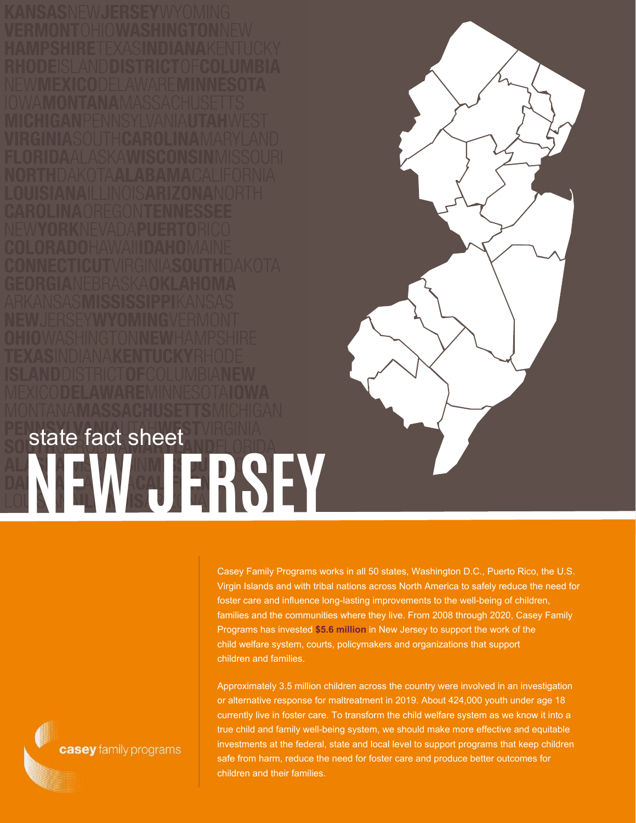**NEW JERSEY** state fact sheet

> Casey Family Programs works in all 50 states, Washington D.C., Puerto Rico, the U.S. Virgin Islands and with tribal nations across North America to safely reduce the need for foster care and influence long-lasting improvements to the well-being of children, families and the communities where they live. From 2008 through 2020, Casey Family Programs has invested **\$5.6 million** in New Jersey to support the work of the child welfare system, courts, policymakers and organizations that support children and families.

Approximately 3.5 million children across the country were involved in an investigation or alternative response for maltreatment in 2019. About 424,000 youth under age 18 currently live in foster care. To transform the child welfare system as we know it into a true child and family well-being system, we should make more effective and equitable investments at the federal, state and local level to support programs that keep children safe from harm, reduce the need for foster care and produce better outcomes for children and their families.

casey family programs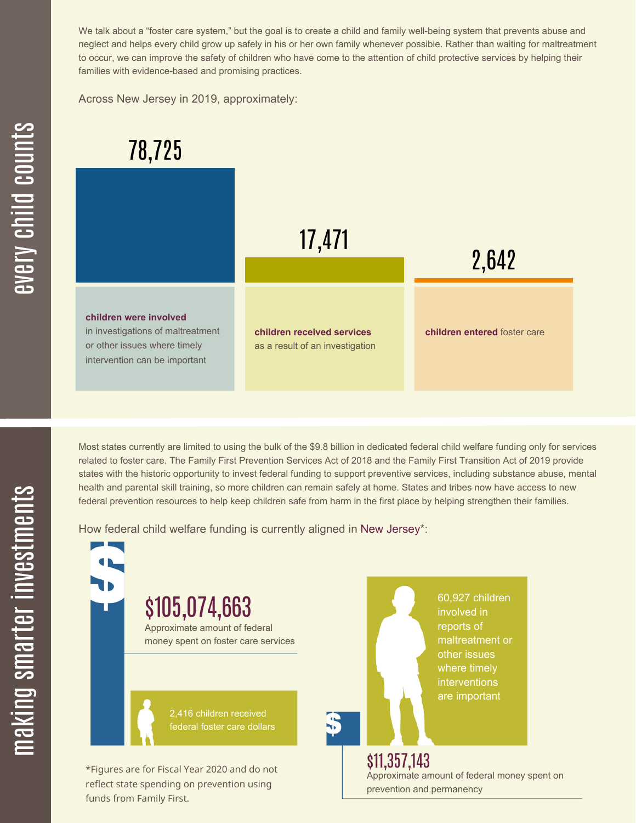We talk about a "foster care system," but the goal is to create a child and family well-being system that prevents abuse and neglect and helps every child grow up safely in his or her own family whenever possible. Rather than waiting for maltreatment to occur, we can improve the safety of children who have come to the attention of child protective services by helping their families with evidence-based and promising practices.

Across New Jersey in 2019, approximately:



Most states currently are limited to using the bulk of the \$9.8 billion in dedicated federal child welfare funding only for services related to foster care. The Family First Prevention Services Act of 2018 and the Family First Transition Act of 2019 provide states with the historic opportunity to invest federal funding to support preventive services, including substance abuse, mental health and parental skill training, so more children can remain safely at home. States and tribes now have access to new federal prevention resources to help keep children safe from harm in the first place by helping strengthen their families.

How federal child welfare funding is currently aligned in New Jersey\*:



 $\blacksquare$  $\mathbf{S}$ 

 $\mathbf \Xi$ **CO** kin gs $\mathbf \Xi$ **CO** rtæ r in  $\, >$ c جا  $\mathbf \Xi$ c  $\blacksquare$  $\mathbf{S}$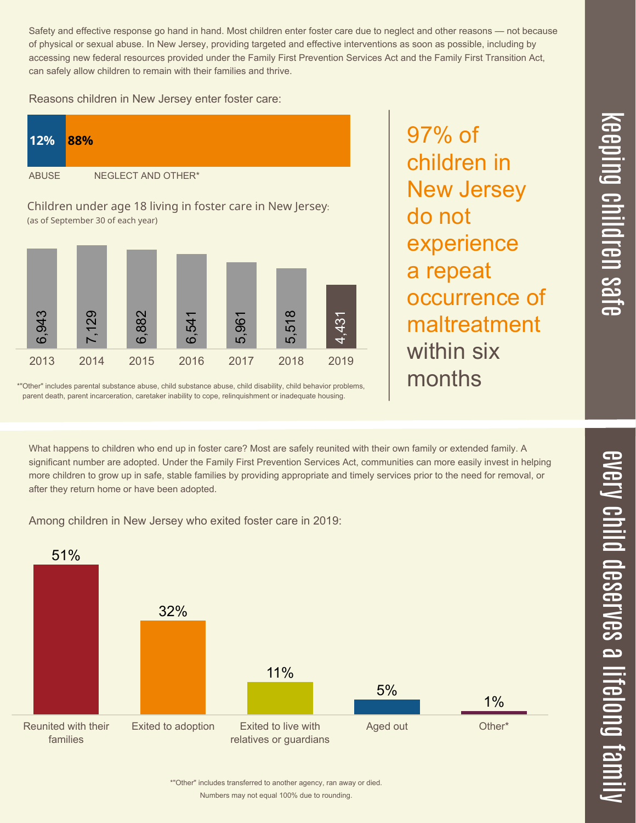$\overline{\mathbf \Theta}$  $\overline{\mathbf{C}}$ <u>pin</u>  $\overline{\mathbf{C}}$  $\overline{\mathbf{C}}$  $\equiv$  $\overline{\mathbf{c}}$  $\overline{\phantom{0}}$  $\boldsymbol{\mathcal{O}}$ a  $\overrightarrow{\mathbf{e}}$ 

 $\overline{\phantom{1}}$ 

Safety and effective response go hand in hand. Most children enter foster care due to neglect and other reasons — not because of physical or sexual abuse. In New Jersey, providing targeted and effective interventions as soon as possible, including by accessing new federal resources provided under the Family First Prevention Services Act and the Family First Transition Act, can safely allow children to remain with their families and thrive.

97% of

do not

children in

New Jersey

experience

occurrence of

maltreatment

a repeat

within six

months

Reasons children in New Jersey enter foster care:

| <b>12%</b>                                                 | 88%                |
|------------------------------------------------------------|--------------------|
| <b>ABUSE</b>                                               | NEGLECT AND OTHER* |
| Children under 200 18 living in foster care in New Jersey. |                    |

Children under age 18 living in foster care in New Jersey: (as of September 30 of each year)



\*"Other" includes parental substance abuse, child substance abuse, child disability, child behavior problems, parent death, parent incarceration, caretaker inability to cope, relinquishment or inadequate housing.

What happens to children who end up in foster care? Most are safely reunited with their own family or extended family. A significant number are adopted. Under the Family First Prevention Services Act, communities can more easily invest in helping more children to grow up in safe, stable families by providing appropriate and timely services prior to the need for removal, or after they return home or have been adopted.

Among children in New Jersey who exited foster care in 2019:



Numbers may not equal 100% due to rounding. \*"Other" includes transferred to another agency, ran away or died.  $\overline{\mathsf{Z}}$  $\overline{\mathbf{C}}$  $\equiv$  $\blacksquare$ e  $\boldsymbol{\mathcal{C}}$  $\overline{\mathbf{C}}$  $\overline{\phantom{a}}$  $\overline{\mathbf{C}}$  $\mathcal{C}$ <u>م</u>  $\equiv$ el<br>O  $\overline{\phantom{0}}$  $\blacksquare$ t<br>B mily

 $\overline{\mathbf{C}}$  $\leq$  $\overline{\mathbf{C}}$